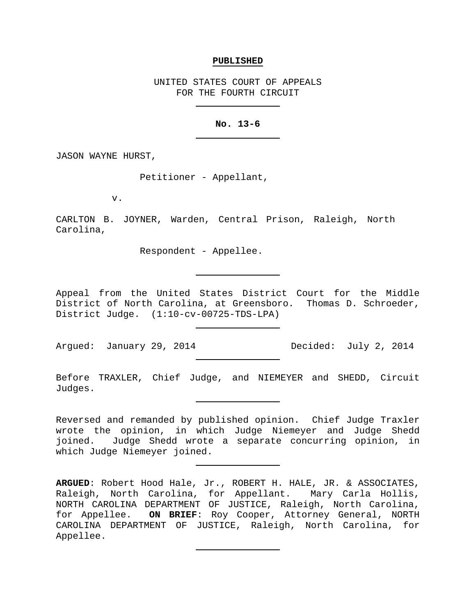#### **PUBLISHED**

UNITED STATES COURT OF APPEALS FOR THE FOURTH CIRCUIT

# **No. 13-6**

JASON WAYNE HURST,

Petitioner - Appellant,

v.

CARLTON B. JOYNER, Warden, Central Prison, Raleigh, North Carolina,

Respondent - Appellee.

Appeal from the United States District Court for the Middle District of North Carolina, at Greensboro. Thomas D. Schroeder, District Judge. (1:10-cv-00725-TDS-LPA)

Argued: January 29, 2014 Decided: July 2, 2014

Before TRAXLER, Chief Judge, and NIEMEYER and SHEDD, Circuit Judges.

Reversed and remanded by published opinion. Chief Judge Traxler wrote the opinion, in which Judge Niemeyer and Judge Shedd joined. Judge Shedd wrote a separate concurring opinion, in which Judge Niemeyer joined.

**ARGUED**: Robert Hood Hale, Jr., ROBERT H. HALE, JR. & ASSOCIATES, Raleigh, North Carolina, for Appellant. Mary Carla Hollis, NORTH CAROLINA DEPARTMENT OF JUSTICE, Raleigh, North Carolina, for Appellee. **ON BRIEF**: Roy Cooper, Attorney General, NORTH CAROLINA DEPARTMENT OF JUSTICE, Raleigh, North Carolina, for Appellee.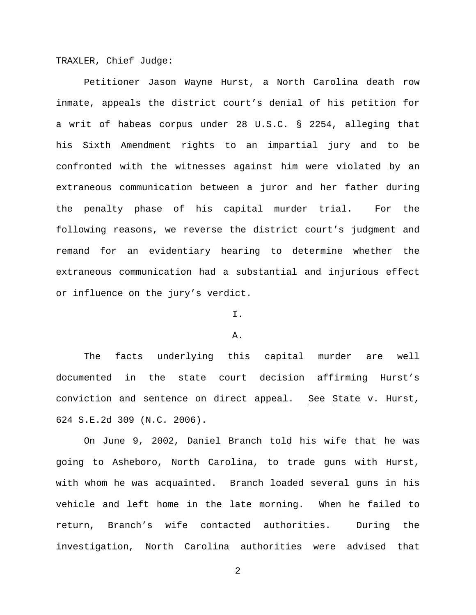TRAXLER, Chief Judge:

Petitioner Jason Wayne Hurst, a North Carolina death row inmate, appeals the district court's denial of his petition for a writ of habeas corpus under 28 U.S.C. § 2254, alleging that his Sixth Amendment rights to an impartial jury and to be confronted with the witnesses against him were violated by an extraneous communication between a juror and her father during the penalty phase of his capital murder trial. For the following reasons, we reverse the district court's judgment and remand for an evidentiary hearing to determine whether the extraneous communication had a substantial and injurious effect or influence on the jury's verdict.

## I.

## A.

The facts underlying this capital murder are well documented in the state court decision affirming Hurst's conviction and sentence on direct appeal. See State v. Hurst, 624 S.E.2d 309 (N.C. 2006).

On June 9, 2002, Daniel Branch told his wife that he was going to Asheboro, North Carolina, to trade guns with Hurst, with whom he was acquainted. Branch loaded several guns in his vehicle and left home in the late morning. When he failed to return, Branch's wife contacted authorities. During the investigation, North Carolina authorities were advised that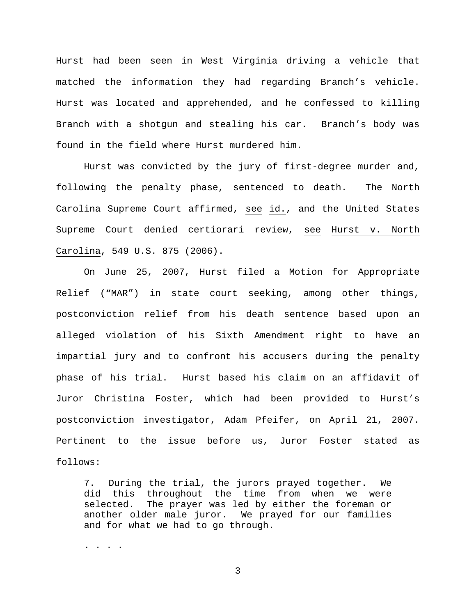Hurst had been seen in West Virginia driving a vehicle that matched the information they had regarding Branch's vehicle. Hurst was located and apprehended, and he confessed to killing Branch with a shotgun and stealing his car. Branch's body was found in the field where Hurst murdered him.

Hurst was convicted by the jury of first-degree murder and, following the penalty phase, sentenced to death. The North Carolina Supreme Court affirmed, see id., and the United States Supreme Court denied certiorari review, see Hurst v. North Carolina, 549 U.S. 875 (2006).

On June 25, 2007, Hurst filed a Motion for Appropriate Relief ("MAR") in state court seeking, among other things, postconviction relief from his death sentence based upon an alleged violation of his Sixth Amendment right to have an impartial jury and to confront his accusers during the penalty phase of his trial. Hurst based his claim on an affidavit of Juror Christina Foster, which had been provided to Hurst's postconviction investigator, Adam Pfeifer, on April 21, 2007. Pertinent to the issue before us, Juror Foster stated as follows:

7. During the trial, the jurors prayed together. We did this throughout the time from when we were<br>selected. The prayer was led by either the foreman or The prayer was led by either the foreman or another older male juror. We prayed for our families and for what we had to go through.

. . . .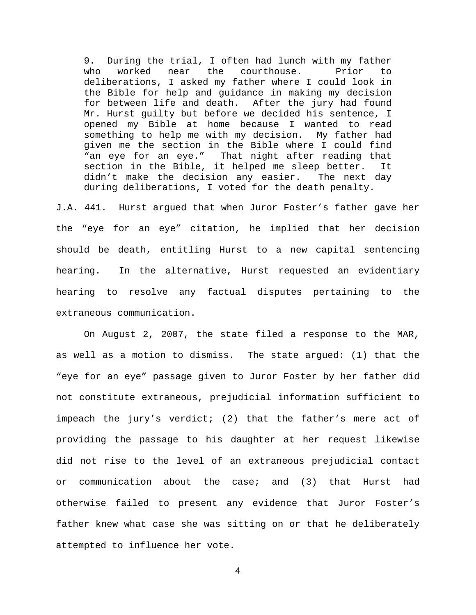9. During the trial, I often had lunch with my father<br>who worked near the courthouse. Prior to who worked near the courthouse. Prior to deliberations, I asked my father where I could look in the Bible for help and guidance in making my decision for between life and death. After the jury had found Mr. Hurst guilty but before we decided his sentence, I opened my Bible at home because I wanted to read something to help me with my decision. My father had given me the section in the Bible where I could find "an eye for an eye." That night after reading that section in the Bible, it helped me sleep better. It<br>didn't make the decision any easier. The next day didn't make the decision any easier. during deliberations, I voted for the death penalty.

J.A. 441. Hurst argued that when Juror Foster's father gave her the "eye for an eye" citation, he implied that her decision should be death, entitling Hurst to a new capital sentencing hearing. In the alternative, Hurst requested an evidentiary hearing to resolve any factual disputes pertaining to the extraneous communication.

On August 2, 2007, the state filed a response to the MAR, as well as a motion to dismiss. The state argued: (1) that the "eye for an eye" passage given to Juror Foster by her father did not constitute extraneous, prejudicial information sufficient to impeach the jury's verdict; (2) that the father's mere act of providing the passage to his daughter at her request likewise did not rise to the level of an extraneous prejudicial contact or communication about the case; and (3) that Hurst had otherwise failed to present any evidence that Juror Foster's father knew what case she was sitting on or that he deliberately attempted to influence her vote.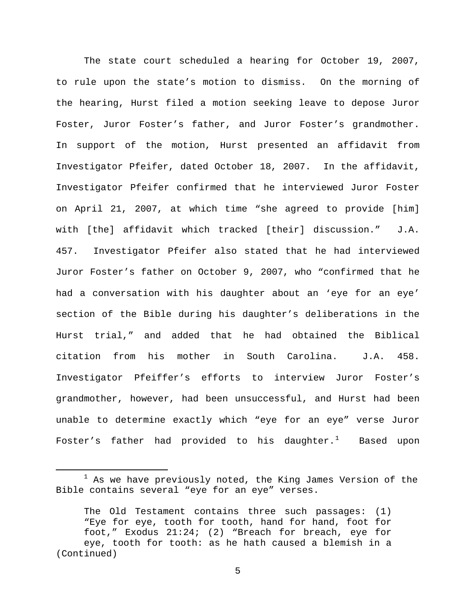The state court scheduled a hearing for October 19, 2007, to rule upon the state's motion to dismiss. On the morning of the hearing, Hurst filed a motion seeking leave to depose Juror Foster, Juror Foster's father, and Juror Foster's grandmother. In support of the motion, Hurst presented an affidavit from Investigator Pfeifer, dated October 18, 2007. In the affidavit, Investigator Pfeifer confirmed that he interviewed Juror Foster on April 21, 2007, at which time "she agreed to provide [him] with [the] affidavit which tracked [their] discussion." J.A. 457. Investigator Pfeifer also stated that he had interviewed Juror Foster's father on October 9, 2007, who "confirmed that he had a conversation with his daughter about an 'eye for an eye' section of the Bible during his daughter's deliberations in the Hurst trial," and added that he had obtained the Biblical citation from his mother in South Carolina. J.A. 458. Investigator Pfeiffer's efforts to interview Juror Foster's grandmother, however, had been unsuccessful, and Hurst had been unable to determine exactly which "eye for an eye" verse Juror Foster's father had provided to his daughter. $^1$  $^1$  Based upon

<span id="page-4-0"></span> $1$  As we have previously noted, the King James Version of the Bible contains several "eye for an eye" verses.

The Old Testament contains three such passages: (1) "Eye for eye, tooth for tooth, hand for hand, foot for foot," Exodus 21:24; (2) "Breach for breach, eye for eye, tooth for tooth: as he hath caused a blemish in a (Continued)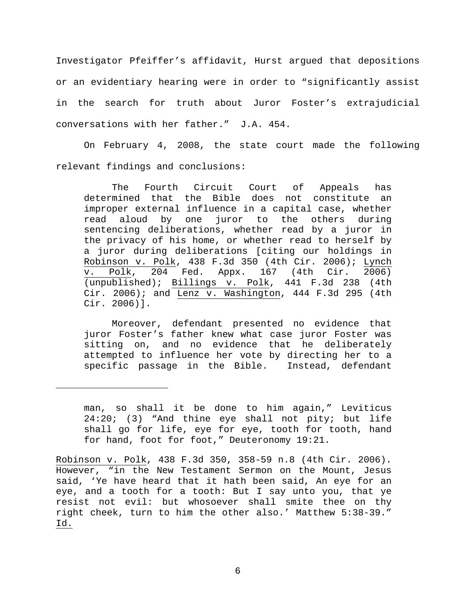Investigator Pfeiffer's affidavit, Hurst argued that depositions or an evidentiary hearing were in order to "significantly assist in the search for truth about Juror Foster's extrajudicial conversations with her father." J.A. 454.

On February 4, 2008, the state court made the following relevant findings and conclusions:

The Fourth Circuit Court of Appeals has determined that the Bible does not constitute an improper external influence in a capital case, whether read aloud by one juror to the others during sentencing deliberations, whether read by a juror in the privacy of his home, or whether read to herself by a juror during deliberations [citing our holdings in Robinson v. Polk, 438 F.3d 350 (4th Cir. 2006); Lynch v. Polk, 204 Fed. Appx. 167 (4th Cir. 2006) v. Polk, 204 Fed. Appx. 167 (4th Cir. (unpublished); Billings v. Polk, 441 F.3d 238 (4th Cir. 2006); and Lenz v. Washington, 444 F.3d 295 (4th Cir. 2006)].

Moreover, defendant presented no evidence that juror Foster's father knew what case juror Foster was sitting on, and no evidence that he deliberately attempted to influence her vote by directing her to a specific passage in the Bible. Instead, defendant

Ĩ.

man, so shall it be done to him again," Leviticus 24:20; (3) "And thine eye shall not pity; but life shall go for life, eye for eye, tooth for tooth, hand for hand, foot for foot," Deuteronomy 19:21.

Robinson v. Polk, 438 F.3d 350, 358-59 n.8 (4th Cir. 2006). However, "in the New Testament Sermon on the Mount, Jesus said, 'Ye have heard that it hath been said, An eye for an eye, and a tooth for a tooth: But I say unto you, that ye resist not evil: but whosoever shall smite thee on thy right cheek, turn to him the other also.' Matthew 5:38-39." Id.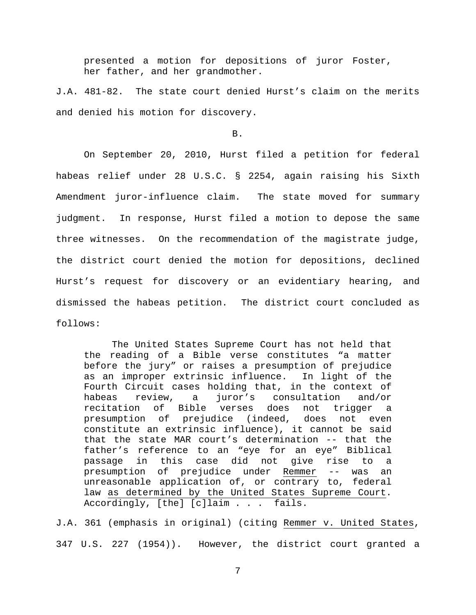presented a motion for depositions of juror Foster, her father, and her grandmother.

J.A. 481-82. The state court denied Hurst's claim on the merits and denied his motion for discovery.

#### B.

On September 20, 2010, Hurst filed a petition for federal habeas relief under 28 U.S.C. § 2254, again raising his Sixth Amendment juror-influence claim. The state moved for summary judgment. In response, Hurst filed a motion to depose the same three witnesses. On the recommendation of the magistrate judge, the district court denied the motion for depositions, declined Hurst's request for discovery or an evidentiary hearing, and dismissed the habeas petition. The district court concluded as follows:

The United States Supreme Court has not held that the reading of a Bible verse constitutes "a matter before the jury" or raises a presumption of prejudice as an improper extrinsic influence. In light of the Fourth Circuit cases holding that, in the context of<br>habeas review, a juror's consultation and/or habeas review, a juror's consultation recitation of Bible verses does not trigger a presumption of prejudice (indeed, constitute an extrinsic influence), it cannot be said that the state MAR court's determination -- that the father's reference to an "eye for an eye" Biblical passage in this case did not give rise to a presumption of prejudice under Remmer -- was an unreasonable application of, or contrary to, federal law as determined by the United States Supreme Court. Accordingly, [the] [c]laim . . . fails.

J.A. 361 (emphasis in original) (citing Remmer v. United States, 347 U.S. 227 (1954)). However, the district court granted a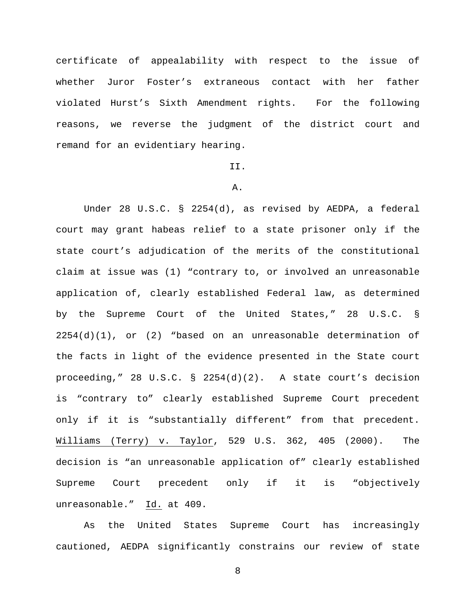certificate of appealability with respect to the issue of whether Juror Foster's extraneous contact with her father violated Hurst's Sixth Amendment rights. For the following reasons, we reverse the judgment of the district court and remand for an evidentiary hearing.

# II.

#### A.

Under 28 U.S.C. § 2254(d), as revised by AEDPA, a federal court may grant habeas relief to a state prisoner only if the state court's adjudication of the merits of the constitutional claim at issue was (1) "contrary to, or involved an unreasonable application of, clearly established Federal law, as determined by the Supreme Court of the United States," 28 U.S.C. §  $2254(d)(1)$ , or (2) "based on an unreasonable determination of the facts in light of the evidence presented in the State court proceeding," 28 U.S.C. § 2254(d)(2). A state court's decision is "contrary to" clearly established Supreme Court precedent only if it is "substantially different" from that precedent. Williams (Terry) v. Taylor, 529 U.S. 362, 405 (2000). The decision is "an unreasonable application of" clearly established Supreme Court precedent only if it is "objectively unreasonable." Id. at 409.

As the United States Supreme Court has increasingly cautioned, AEDPA significantly constrains our review of state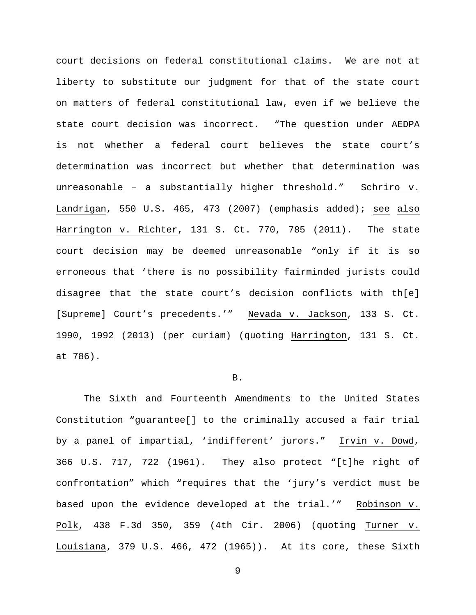court decisions on federal constitutional claims. We are not at liberty to substitute our judgment for that of the state court on matters of federal constitutional law, even if we believe the state court decision was incorrect. "The question under AEDPA is not whether a federal court believes the state court's determination was incorrect but whether that determination was unreasonable – a substantially higher threshold." Schriro v. Landrigan, 550 U.S. 465, 473 (2007) (emphasis added); see also Harrington v. Richter, 131 S. Ct. 770, 785 (2011). The state court decision may be deemed unreasonable "only if it is so erroneous that 'there is no possibility fairminded jurists could disagree that the state court's decision conflicts with th[e] [Supreme] Court's precedents.'" Nevada v. Jackson, 133 S. Ct. 1990, 1992 (2013) (per curiam) (quoting Harrington, 131 S. Ct. at 786).

## B.

The Sixth and Fourteenth Amendments to the United States Constitution "guarantee[] to the criminally accused a fair trial by a panel of impartial, 'indifferent' jurors." Irvin v. Dowd, 366 U.S. 717, 722 (1961). They also protect "[t]he right of confrontation" which "requires that the 'jury's verdict must be based upon the evidence developed at the trial.'" Robinson v. Polk, 438 F.3d 350, 359 (4th Cir. 2006) (quoting Turner v. Louisiana, 379 U.S. 466, 472 (1965)). At its core, these Sixth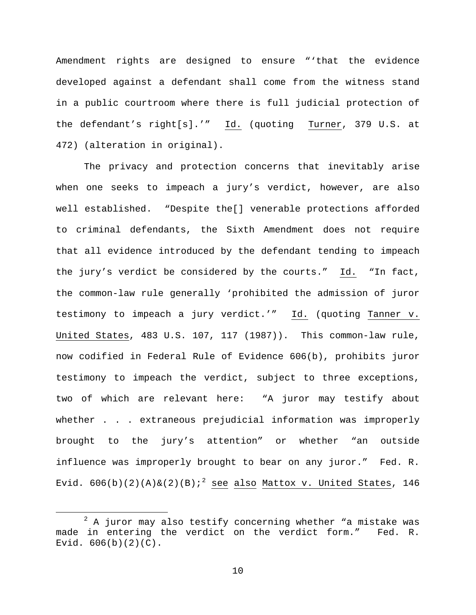Amendment rights are designed to ensure "'that the evidence developed against a defendant shall come from the witness stand in a public courtroom where there is full judicial protection of the defendant's right[s].'" Id. (quoting Turner, 379 U.S. at 472) (alteration in original).

The privacy and protection concerns that inevitably arise when one seeks to impeach a jury's verdict, however, are also well established. "Despite the[] venerable protections afforded to criminal defendants, the Sixth Amendment does not require that all evidence introduced by the defendant tending to impeach the jury's verdict be considered by the courts." Id. "In fact, the common-law rule generally 'prohibited the admission of juror testimony to impeach a jury verdict.'" Id. (quoting Tanner v. United States, 483 U.S. 107, 117 (1987)). This common-law rule, now codified in Federal Rule of Evidence 606(b), prohibits juror testimony to impeach the verdict, subject to three exceptions, two of which are relevant here: "A juror may testify about whether . . . extraneous prejudicial information was improperly brought to the jury's attention" or whether "an outside influence was improperly brought to bear on any juror." Fed. R. Evid.  $606(b)(2)(A)\&(2)(B);^2$  $606(b)(2)(A)\&(2)(B);^2$  $606(b)(2)(A)\&(2)(B);^2$  see also Mattox v. United States, 146

<span id="page-9-0"></span> $2$  A juror may also testify concerning whether "a mistake was in entering the verdict on the verdict form." Fed. R. made in entering the verdict on the verdict form." Evid.  $606(b)(2)(C)$ .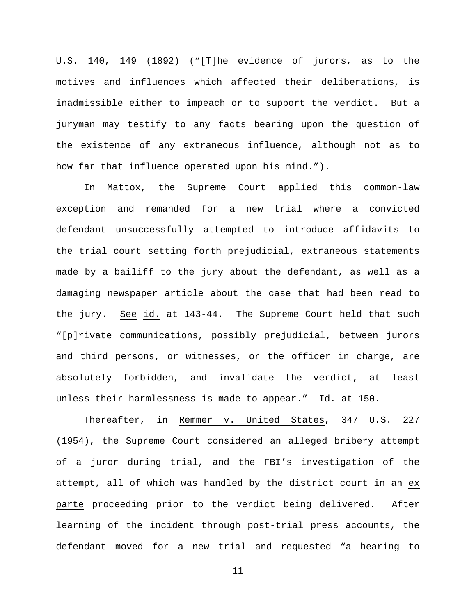U.S. 140, 149 (1892) ("[T]he evidence of jurors, as to the motives and influences which affected their deliberations, is inadmissible either to impeach or to support the verdict. But a juryman may testify to any facts bearing upon the question of the existence of any extraneous influence, although not as to how far that influence operated upon his mind.").

In Mattox, the Supreme Court applied this common-law exception and remanded for a new trial where a convicted defendant unsuccessfully attempted to introduce affidavits to the trial court setting forth prejudicial, extraneous statements made by a bailiff to the jury about the defendant, as well as a damaging newspaper article about the case that had been read to the jury. See id. at 143-44. The Supreme Court held that such "[p]rivate communications, possibly prejudicial, between jurors and third persons, or witnesses, or the officer in charge, are absolutely forbidden, and invalidate the verdict, at least unless their harmlessness is made to appear." Id. at 150.

Thereafter, in Remmer v. United States, 347 U.S. 227 (1954), the Supreme Court considered an alleged bribery attempt of a juror during trial, and the FBI's investigation of the attempt, all of which was handled by the district court in an ex parte proceeding prior to the verdict being delivered. After learning of the incident through post-trial press accounts, the defendant moved for a new trial and requested "a hearing to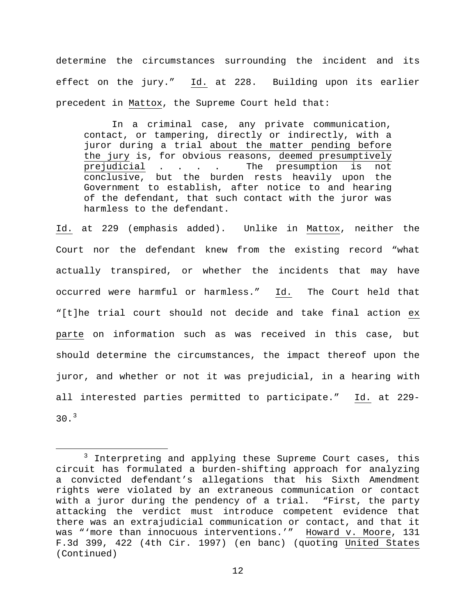determine the circumstances surrounding the incident and its effect on the jury." Id. at 228. Building upon its earlier precedent in Mattox, the Supreme Court held that:

In a criminal case, any private communication, contact, or tampering, directly or indirectly, with a juror during a trial about the matter pending before the jury is, for obvious reasons, deemed presumptively<br>prejudicial . . . . The presumption is not prejudicial . . . . conclusive, but the burden rests heavily upon the Government to establish, after notice to and hearing of the defendant, that such contact with the juror was harmless to the defendant.

Id. at 229 (emphasis added). Unlike in Mattox, neither the Court nor the defendant knew from the existing record "what actually transpired, or whether the incidents that may have occurred were harmful or harmless." Id. The Court held that "[t]he trial court should not decide and take final action ex parte on information such as was received in this case, but should determine the circumstances, the impact thereof upon the juror, and whether or not it was prejudicial, in a hearing with all interested parties permitted to participate." Id. at 229-  $30.3$  $30.3$ 

<span id="page-11-0"></span> $3$  Interpreting and applying these Supreme Court cases, this circuit has formulated a burden-shifting approach for analyzing a convicted defendant's allegations that his Sixth Amendment rights were violated by an extraneous communication or contact with a juror during the pendency of a trial. "First, the party attacking the verdict must introduce competent evidence that there was an extrajudicial communication or contact, and that it was "'more than innocuous interventions.'" Howard v. Moore, 131 F.3d 399, 422 (4th Cir. 1997) (en banc) (quoting United States (Continued)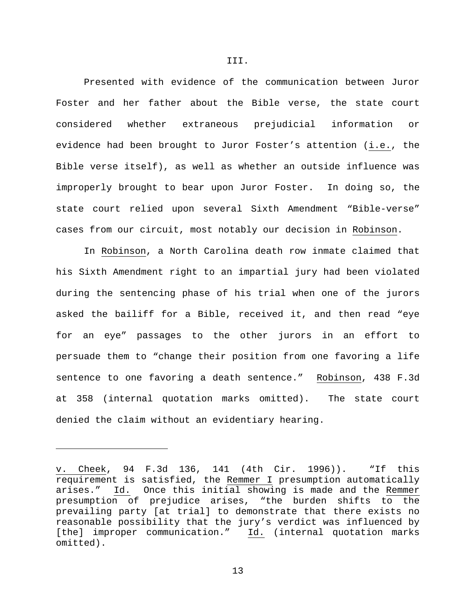Presented with evidence of the communication between Juror Foster and her father about the Bible verse, the state court considered whether extraneous prejudicial information or evidence had been brought to Juror Foster's attention (i.e., the Bible verse itself), as well as whether an outside influence was improperly brought to bear upon Juror Foster. In doing so, the state court relied upon several Sixth Amendment "Bible-verse" cases from our circuit, most notably our decision in Robinson.

In Robinson, a North Carolina death row inmate claimed that his Sixth Amendment right to an impartial jury had been violated during the sentencing phase of his trial when one of the jurors asked the bailiff for a Bible, received it, and then read "eye for an eye" passages to the other jurors in an effort to persuade them to "change their position from one favoring a life sentence to one favoring a death sentence." Robinson, 438 F.3d at 358 (internal quotation marks omitted). The state court denied the claim without an evidentiary hearing.

Ĩ.

v. Cheek, 94 F.3d 136, 141 (4th Cir. 1996)). "If this requirement is satisfied, the Remmer I presumption automatically arises." Id. Once this initial showing is made and the Remmer presumption of prejudice arises, "the burden shifts to the prevailing party [at trial] to demonstrate that there exists no reasonable possibility that the jury's verdict was influenced by [the] improper communication." Id. (internal quotation marks omitted).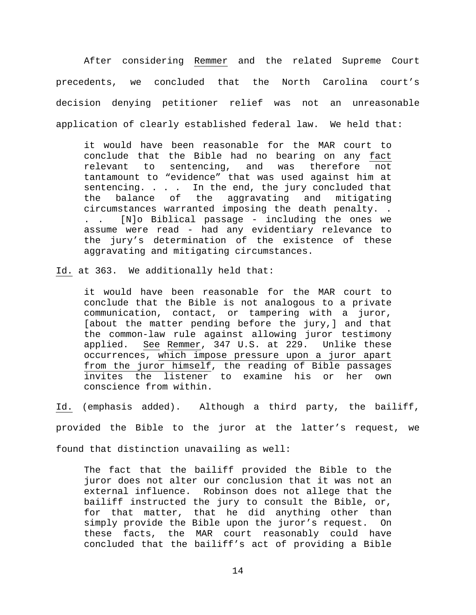After considering Remmer and the related Supreme Court precedents, we concluded that the North Carolina court's decision denying petitioner relief was not an unreasonable application of clearly established federal law. We held that:

it would have been reasonable for the MAR court to conclude that the Bible had no bearing on any fact<br>relevant to sentencing, and was therefore not sentencing, and was therefore not tantamount to "evidence" that was used against him at sentencing. . . . In the end, the jury concluded that ncing. . . . In the end, the jury concluded that<br>balance of the aggravating and mitigating the balance of the aggravating and mitigating circumstances warranted imposing the death penalty. . . . [N]o Biblical passage - including the ones we assume were read - had any evidentiary relevance to the jury's determination of the existence of these aggravating and mitigating circumstances.

Id. at 363. We additionally held that:

it would have been reasonable for the MAR court to conclude that the Bible is not analogous to a private communication, contact, or tampering with a juror, [about the matter pending before the jury,] and that the common-law rule against allowing juror testimony applied. See Remmer, 347 U.S. at 229. Unlike these occurrences, which impose pressure upon a juror apart from the juror himself, the reading of Bible passages invites the listener to examine his or her own conscience from within.

Id. (emphasis added). Although a third party, the bailiff, provided the Bible to the juror at the latter's request, we found that distinction unavailing as well:

The fact that the bailiff provided the Bible to the juror does not alter our conclusion that it was not an external influence. Robinson does not allege that the bailiff instructed the jury to consult the Bible, or, for that matter, that he did anything other than simply provide the Bible upon the juror's request. On these facts, the MAR court reasonably could have concluded that the bailiff's act of providing a Bible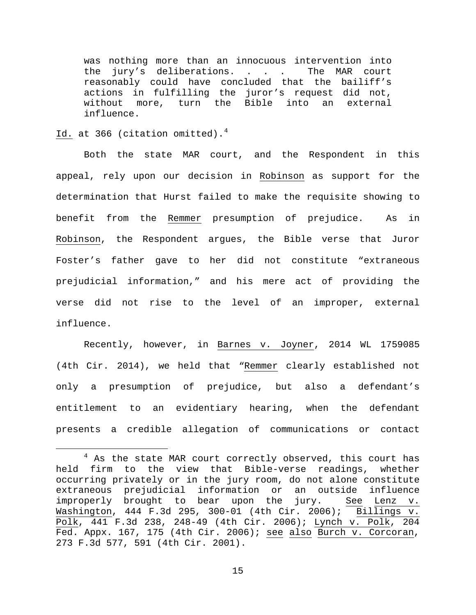was nothing more than an innocuous intervention into the jury's deliberations. . . . The MAR court reasonably could have concluded that the bailiff's actions in fulfilling the juror's request did not,<br>without more, turn the Bible into an external without more, turn the Bible into an influence.

Id. at 366 (citation omitted). $4$ 

Both the state MAR court, and the Respondent in this appeal, rely upon our decision in Robinson as support for the determination that Hurst failed to make the requisite showing to benefit from the Remmer presumption of prejudice. As in Robinson, the Respondent argues, the Bible verse that Juror Foster's father gave to her did not constitute "extraneous prejudicial information," and his mere act of providing the verse did not rise to the level of an improper, external influence.

Recently, however, in Barnes v. Joyner, 2014 WL 1759085 (4th Cir. 2014), we held that "Remmer clearly established not only a presumption of prejudice, but also a defendant's entitlement to an evidentiary hearing, when the defendant presents a credible allegation of communications or contact

<span id="page-14-0"></span> $4$  As the state MAR court correctly observed, this court has held firm to the view that Bible-verse readings, whether occurring privately or in the jury room, do not alone constitute extraneous prejudicial information or an outside influence improperly brought to bear upon the jury. See Lenz v. Washington, 444 F.3d 295, 300-01 (4th Cir. 2006); Billings v. Polk, 441 F.3d 238, 248-49 (4th Cir. 2006); Lynch v. Polk, 204 Fed. Appx. 167, 175 (4th Cir. 2006); see also Burch v. Corcoran, 273 F.3d 577, 591 (4th Cir. 2001).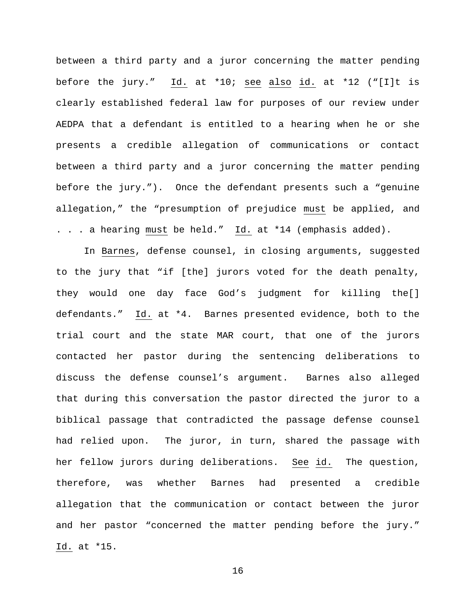between a third party and a juror concerning the matter pending before the jury." Id. at \*10; see also id. at \*12 ("[I]t is clearly established federal law for purposes of our review under AEDPA that a defendant is entitled to a hearing when he or she presents a credible allegation of communications or contact between a third party and a juror concerning the matter pending before the jury."). Once the defendant presents such a "genuine allegation," the "presumption of prejudice must be applied, and . . . a hearing must be held." Id. at \*14 (emphasis added).

In Barnes, defense counsel, in closing arguments, suggested to the jury that "if [the] jurors voted for the death penalty, they would one day face God's judgment for killing the[] defendants." Id. at \*4. Barnes presented evidence, both to the trial court and the state MAR court, that one of the jurors contacted her pastor during the sentencing deliberations to discuss the defense counsel's argument. Barnes also alleged that during this conversation the pastor directed the juror to a biblical passage that contradicted the passage defense counsel had relied upon. The juror, in turn, shared the passage with her fellow jurors during deliberations. See id. The question, therefore, was whether Barnes had presented a credible allegation that the communication or contact between the juror and her pastor "concerned the matter pending before the jury." Id. at \*15.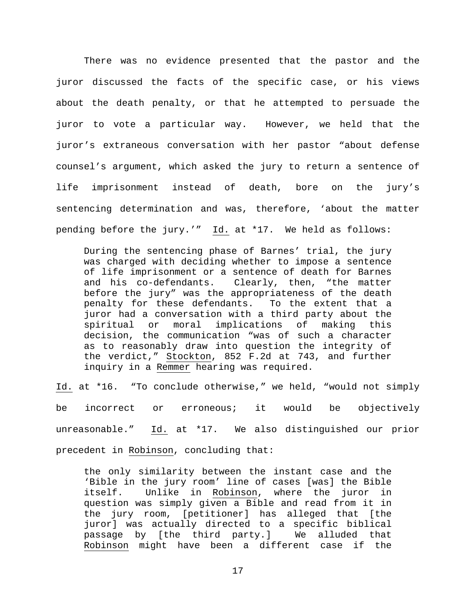There was no evidence presented that the pastor and the juror discussed the facts of the specific case, or his views about the death penalty, or that he attempted to persuade the juror to vote a particular way. However, we held that the juror's extraneous conversation with her pastor "about defense counsel's argument, which asked the jury to return a sentence of life imprisonment instead of death, bore on the jury's sentencing determination and was, therefore, 'about the matter pending before the jury.'" Id. at \*17. We held as follows:

During the sentencing phase of Barnes' trial, the jury was charged with deciding whether to impose a sentence of life imprisonment or a sentence of death for Barnes and his co-defendants. Clearly, then, "the matter before the jury" was the appropriateness of the death penalty for these defendants. To the extent that a juror had a conversation with a third party about the spiritual or moral implications of making this decision, the communication "was of such a character as to reasonably draw into question the integrity of the verdict," Stockton, 852 F.2d at 743, and further inquiry in a Remmer hearing was required.

Id. at \*16. "To conclude otherwise," we held, "would not simply be incorrect or erroneous; it would be objectively unreasonable." Id. at \*17. We also distinguished our prior precedent in Robinson, concluding that:

the only similarity between the instant case and the 'Bible in the jury room' line of cases [was] the Bible<br>itself. Unlike in Robinson, where the juror in Unlike in Robinson, where the juror in question was simply given a Bible and read from it in the jury room, [petitioner] has alleged that [the juror] was actually directed to a specific biblical<br>passaqe by [the third party.] We alluded that passage by [the third party.] Robinson might have been a different case if the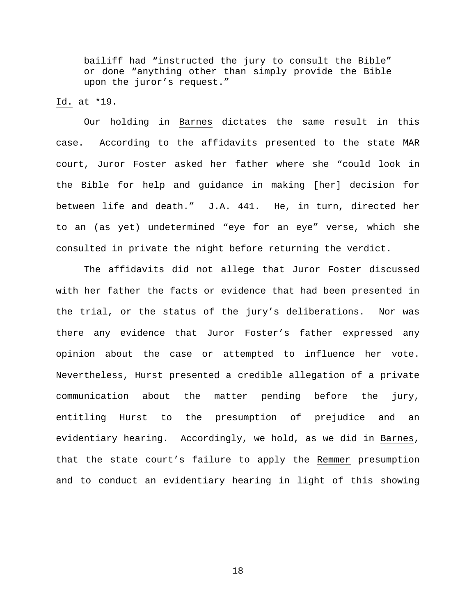bailiff had "instructed the jury to consult the Bible" or done "anything other than simply provide the Bible upon the juror's request."

# Id. at \*19.

Our holding in Barnes dictates the same result in this case. According to the affidavits presented to the state MAR court, Juror Foster asked her father where she "could look in the Bible for help and guidance in making [her] decision for between life and death." J.A. 441. He, in turn, directed her to an (as yet) undetermined "eye for an eye" verse, which she consulted in private the night before returning the verdict.

The affidavits did not allege that Juror Foster discussed with her father the facts or evidence that had been presented in the trial, or the status of the jury's deliberations. Nor was there any evidence that Juror Foster's father expressed any opinion about the case or attempted to influence her vote. Nevertheless, Hurst presented a credible allegation of a private communication about the matter pending before the jury, entitling Hurst to the presumption of prejudice and an evidentiary hearing. Accordingly, we hold, as we did in Barnes, that the state court's failure to apply the Remmer presumption and to conduct an evidentiary hearing in light of this showing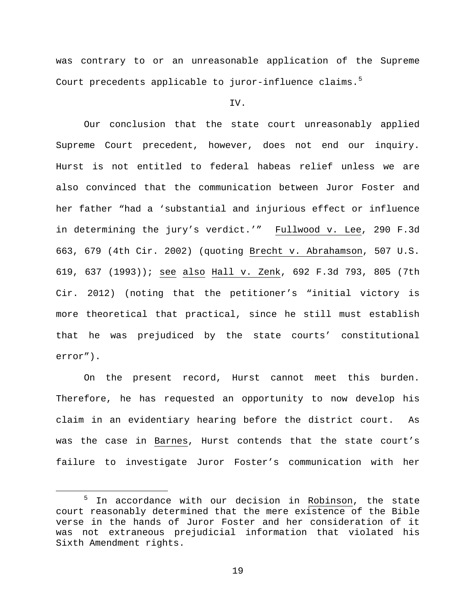was contrary to or an unreasonable application of the Supreme Court precedents applicable to juror-influence claims.<sup>[5](#page-18-0)</sup>

IV.

Our conclusion that the state court unreasonably applied Supreme Court precedent, however, does not end our inquiry. Hurst is not entitled to federal habeas relief unless we are also convinced that the communication between Juror Foster and her father "had a 'substantial and injurious effect or influence in determining the jury's verdict.'" Fullwood v. Lee, 290 F.3d 663, 679 (4th Cir. 2002) (quoting Brecht v. Abrahamson, 507 U.S. 619, 637 (1993)); see also Hall v. Zenk, 692 F.3d 793, 805 (7th Cir. 2012) (noting that the petitioner's "initial victory is more theoretical that practical, since he still must establish that he was prejudiced by the state courts' constitutional error").

On the present record, Hurst cannot meet this burden. Therefore, he has requested an opportunity to now develop his claim in an evidentiary hearing before the district court. As was the case in Barnes, Hurst contends that the state court's failure to investigate Juror Foster's communication with her

<span id="page-18-0"></span><sup>&</sup>lt;sup>5</sup> In accordance with our decision in Robinson, the state court reasonably determined that the mere existence of the Bible verse in the hands of Juror Foster and her consideration of it was not extraneous prejudicial information that violated his Sixth Amendment rights.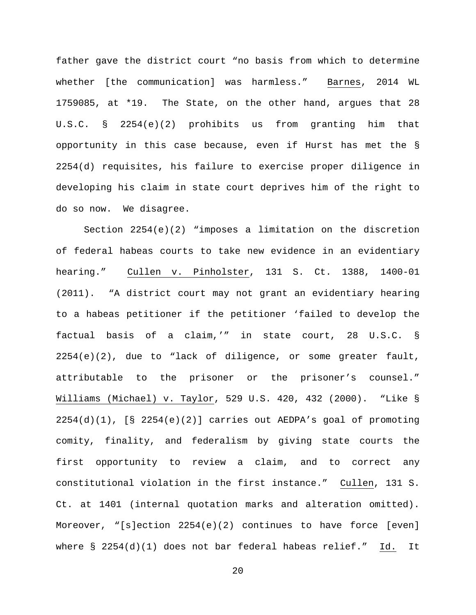father gave the district court "no basis from which to determine whether [the communication] was harmless." Barnes, 2014 WL 1759085, at \*19. The State, on the other hand, argues that 28 U.S.C. § 2254(e)(2) prohibits us from granting him that opportunity in this case because, even if Hurst has met the § 2254(d) requisites, his failure to exercise proper diligence in developing his claim in state court deprives him of the right to do so now. We disagree.

Section 2254(e)(2) "imposes a limitation on the discretion of federal habeas courts to take new evidence in an evidentiary hearing." Cullen v. Pinholster, 131 S. Ct. 1388, 1400-01 (2011). "A district court may not grant an evidentiary hearing to a habeas petitioner if the petitioner 'failed to develop the factual basis of a claim,'" in state court, 28 U.S.C. §  $2254(e)(2)$ , due to "lack of diligence, or some greater fault, attributable to the prisoner or the prisoner's counsel." Williams (Michael) v. Taylor, 529 U.S. 420, 432 (2000). "Like §  $2254(d)(1)$ ,  $[§ 2254(e)(2)]$  carries out AEDPA's goal of promoting comity, finality, and federalism by giving state courts the first opportunity to review a claim, and to correct any constitutional violation in the first instance." Cullen, 131 S. Ct. at 1401 (internal quotation marks and alteration omitted). Moreover, "[s]ection 2254(e)(2) continues to have force [even] where § 2254(d)(1) does not bar federal habeas relief." Id. It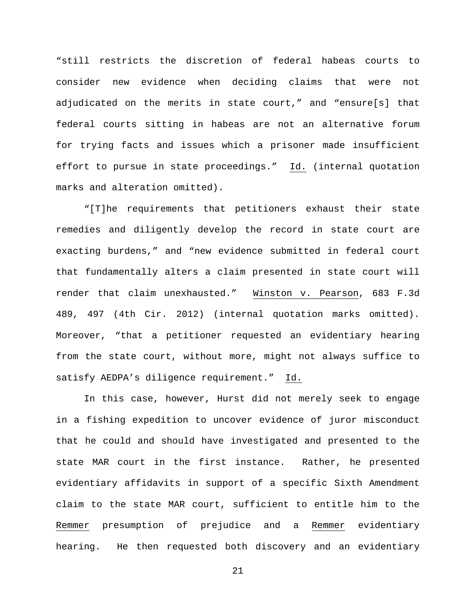"still restricts the discretion of federal habeas courts to consider new evidence when deciding claims that were not adjudicated on the merits in state court," and "ensure[s] that federal courts sitting in habeas are not an alternative forum for trying facts and issues which a prisoner made insufficient effort to pursue in state proceedings." Id. (internal quotation marks and alteration omitted).

"[T]he requirements that petitioners exhaust their state remedies and diligently develop the record in state court are exacting burdens," and "new evidence submitted in federal court that fundamentally alters a claim presented in state court will render that claim unexhausted." Winston v. Pearson, 683 F.3d 489, 497 (4th Cir. 2012) (internal quotation marks omitted). Moreover, "that a petitioner requested an evidentiary hearing from the state court, without more, might not always suffice to satisfy AEDPA's diligence requirement." Id.

In this case, however, Hurst did not merely seek to engage in a fishing expedition to uncover evidence of juror misconduct that he could and should have investigated and presented to the state MAR court in the first instance. Rather, he presented evidentiary affidavits in support of a specific Sixth Amendment claim to the state MAR court, sufficient to entitle him to the Remmer presumption of prejudice and a Remmer evidentiary hearing. He then requested both discovery and an evidentiary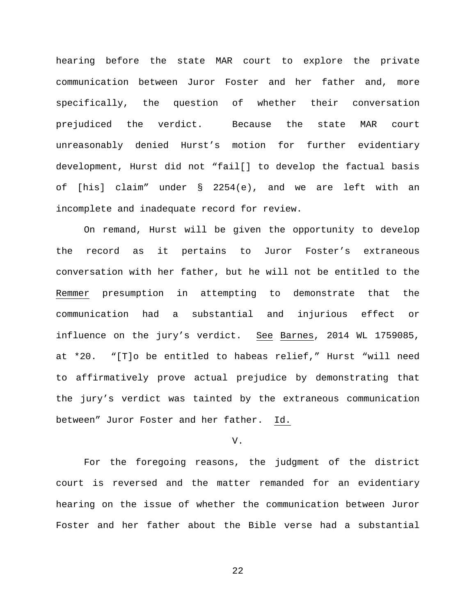hearing before the state MAR court to explore the private communication between Juror Foster and her father and, more specifically, the question of whether their conversation prejudiced the verdict. Because the state MAR court unreasonably denied Hurst's motion for further evidentiary development, Hurst did not "fail[] to develop the factual basis of [his] claim" under § 2254(e), and we are left with an incomplete and inadequate record for review.

On remand, Hurst will be given the opportunity to develop the record as it pertains to Juror Foster's extraneous conversation with her father, but he will not be entitled to the Remmer presumption in attempting to demonstrate that the communication had a substantial and injurious effect or influence on the jury's verdict. See Barnes, 2014 WL 1759085, at \*20. "[T]o be entitled to habeas relief," Hurst "will need to affirmatively prove actual prejudice by demonstrating that the jury's verdict was tainted by the extraneous communication between" Juror Foster and her father. Id.

## V.

For the foregoing reasons, the judgment of the district court is reversed and the matter remanded for an evidentiary hearing on the issue of whether the communication between Juror Foster and her father about the Bible verse had a substantial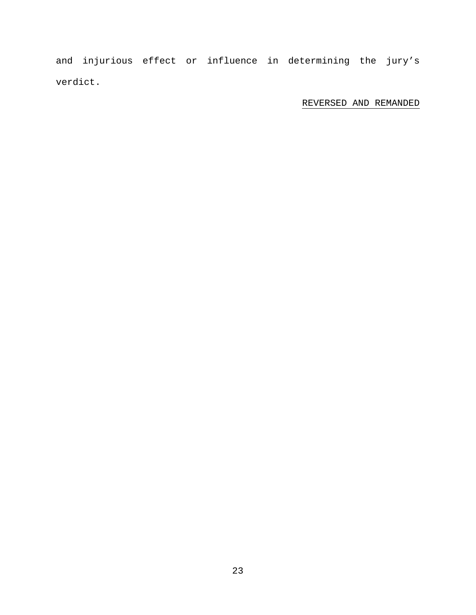and injurious effect or influence in determining the jury's verdict.

# REVERSED AND REMANDED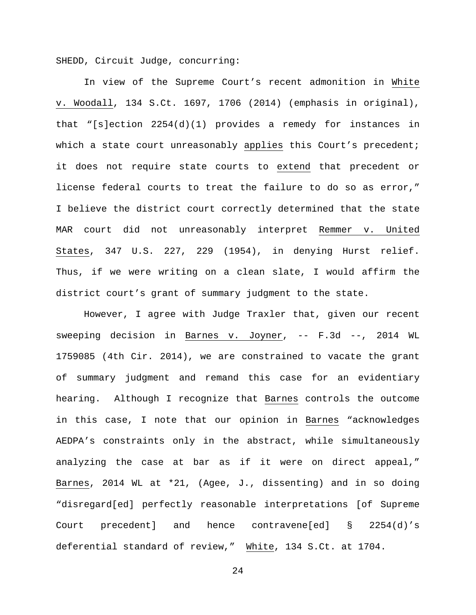SHEDD, Circuit Judge, concurring:

In view of the Supreme Court's recent admonition in White v. Woodall, 134 S.Ct. 1697, 1706 (2014) (emphasis in original), that "[s]ection  $2254(d)(1)$  provides a remedy for instances in which a state court unreasonably applies this Court's precedent; it does not require state courts to extend that precedent or license federal courts to treat the failure to do so as error," I believe the district court correctly determined that the state MAR court did not unreasonably interpret Remmer v. United States, 347 U.S. 227, 229 (1954), in denying Hurst relief. Thus, if we were writing on a clean slate, I would affirm the district court's grant of summary judgment to the state.

However, I agree with Judge Traxler that, given our recent sweeping decision in Barnes v. Joyner, -- F.3d --, 2014 WL 1759085 (4th Cir. 2014), we are constrained to vacate the grant of summary judgment and remand this case for an evidentiary hearing. Although I recognize that Barnes controls the outcome in this case, I note that our opinion in Barnes "acknowledges AEDPA's constraints only in the abstract, while simultaneously analyzing the case at bar as if it were on direct appeal," Barnes, 2014 WL at \*21, (Agee, J., dissenting) and in so doing "disregard[ed] perfectly reasonable interpretations [of Supreme Court precedent] and hence contravene[ed] § 2254(d)'s deferential standard of review," White, 134 S.Ct. at 1704.